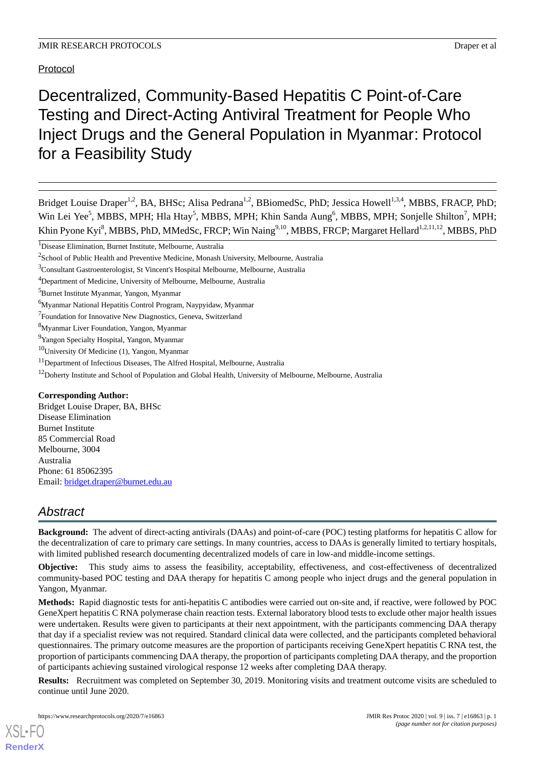# Protocol

Decentralized, Community-Based Hepatitis C Point-of-Care Testing and Direct-Acting Antiviral Treatment for People Who Inject Drugs and the General Population in Myanmar: Protocol for a Feasibility Study

Bridget Louise Draper<sup>1,2</sup>, BA, BHSc; Alisa Pedrana<sup>1,2</sup>, BBiomedSc, PhD; Jessica Howell<sup>1,3,4</sup>, MBBS, FRACP, PhD; Win Lei Yee<sup>5</sup>, MBBS, MPH; Hla Htay<sup>5</sup>, MBBS, MPH; Khin Sanda Aung<sup>6</sup>, MBBS, MPH; Sonjelle Shilton<sup>7</sup>, MPH; Khin Pyone Kyi<sup>8</sup>, MBBS, PhD, MMedSc, FRCP; Win Naing<sup>9,10</sup>, MBBS, FRCP; Margaret Hellard<sup>1,2,11,12</sup>, MBBS, PhD

<sup>1</sup>Disease Elimination, Burnet Institute, Melbourne, Australia

<sup>3</sup>Consultant Gastroenterologist, St Vincent's Hospital Melbourne, Melbourne, Australia

- <sup>7</sup> Foundation for Innovative New Diagnostics, Geneva, Switzerland
- <sup>8</sup>Myanmar Liver Foundation, Yangon, Myanmar

- $10$ University Of Medicine (1), Yangon, Myanmar
- <sup>11</sup>Department of Infectious Diseases, The Alfred Hospital, Melbourne, Australia
- <sup>12</sup>Doherty Institute and School of Population and Global Health, University of Melbourne, Melbourne, Australia

#### **Corresponding Author:**

Bridget Louise Draper, BA, BHSc Disease Elimination Burnet Institute 85 Commercial Road Melbourne, 3004 Australia Phone: 61 85062395 Email: [bridget.draper@burnet.edu.au](mailto:bridget.draper@burnet.edu.au)

# *Abstract*

**Background:** The advent of direct-acting antivirals (DAAs) and point-of-care (POC) testing platforms for hepatitis C allow for the decentralization of care to primary care settings. In many countries, access to DAAs is generally limited to tertiary hospitals, with limited published research documenting decentralized models of care in low-and middle-income settings.

**Objective:** This study aims to assess the feasibility, acceptability, effectiveness, and cost-effectiveness of decentralized community-based POC testing and DAA therapy for hepatitis C among people who inject drugs and the general population in Yangon, Myanmar.

**Methods:** Rapid diagnostic tests for anti-hepatitis C antibodies were carried out on-site and, if reactive, were followed by POC GeneXpert hepatitis C RNA polymerase chain reaction tests. External laboratory blood tests to exclude other major health issues were undertaken. Results were given to participants at their next appointment, with the participants commencing DAA therapy that day if a specialist review was not required. Standard clinical data were collected, and the participants completed behavioral questionnaires. The primary outcome measures are the proportion of participants receiving GeneXpert hepatitis C RNA test, the proportion of participants commencing DAA therapy, the proportion of participants completing DAA therapy, and the proportion of participants achieving sustained virological response 12 weeks after completing DAA therapy.

**Results:** Recruitment was completed on September 30, 2019. Monitoring visits and treatment outcome visits are scheduled to continue until June 2020.

 $2$ School of Public Health and Preventive Medicine, Monash University, Melbourne, Australia

<sup>4</sup>Department of Medicine, University of Melbourne, Melbourne, Australia

<sup>5</sup>Burnet Institute Myanmar, Yangon, Myanmar

<sup>6</sup>Myanmar National Hepatitis Control Program, Naypyidaw, Myanmar

<sup>&</sup>lt;sup>9</sup>Yangon Specialty Hospital, Yangon, Myanmar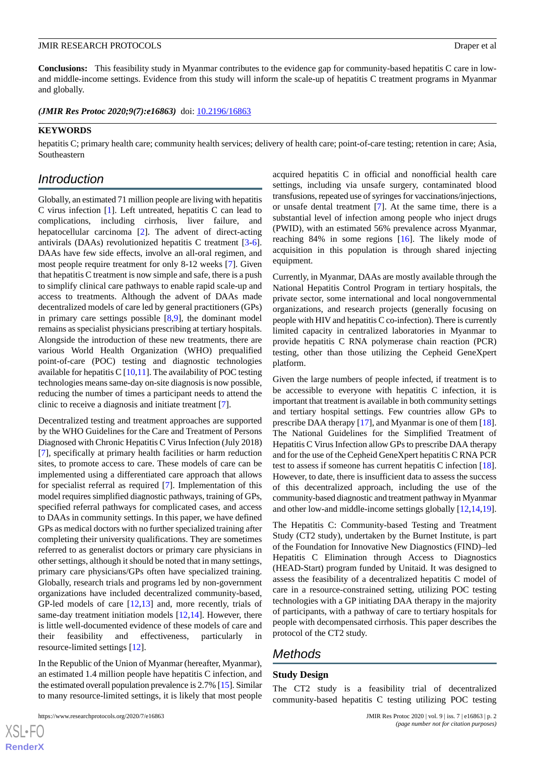**Conclusions:** This feasibility study in Myanmar contributes to the evidence gap for community-based hepatitis C care in lowand middle-income settings. Evidence from this study will inform the scale-up of hepatitis C treatment programs in Myanmar and globally.

(JMIR Res Protoc 2020;9(7):e16863) doi: [10.2196/16863](http://dx.doi.org/10.2196/16863)

#### **KEYWORDS**

hepatitis C; primary health care; community health services; delivery of health care; point-of-care testing; retention in care; Asia, Southeastern

# *Introduction*

Globally, an estimated 71 million people are living with hepatitis C virus infection [\[1](#page-9-0)]. Left untreated, hepatitis C can lead to complications, including cirrhosis, liver failure, and hepatocellular carcinoma [\[2](#page-9-1)]. The advent of direct-acting antivirals (DAAs) revolutionized hepatitis C treatment [\[3-](#page-9-2)[6\]](#page-9-3). DAAs have few side effects, involve an all-oral regimen, and most people require treatment for only 8-12 weeks [[7\]](#page-9-4). Given that hepatitis C treatment is now simple and safe, there is a push to simplify clinical care pathways to enable rapid scale-up and access to treatments. Although the advent of DAAs made decentralized models of care led by general practitioners (GPs) in primary care settings possible [[8](#page-9-5)[,9](#page-9-6)], the dominant model remains as specialist physicians prescribing at tertiary hospitals. Alongside the introduction of these new treatments, there are various World Health Organization (WHO) prequalified point-of-care (POC) testing and diagnostic technologies available for hepatitis C  $[10,11]$  $[10,11]$  $[10,11]$ . The availability of POC testing technologies means same-day on-site diagnosis is now possible, reducing the number of times a participant needs to attend the clinic to receive a diagnosis and initiate treatment [\[7\]](#page-9-4).

Decentralized testing and treatment approaches are supported by the WHO Guidelines for the Care and Treatment of Persons Diagnosed with Chronic Hepatitis C Virus Infection (July 2018) [[7\]](#page-9-4), specifically at primary health facilities or harm reduction sites, to promote access to care. These models of care can be implemented using a differentiated care approach that allows for specialist referral as required [[7\]](#page-9-4). Implementation of this model requires simplified diagnostic pathways, training of GPs, specified referral pathways for complicated cases, and access to DAAs in community settings. In this paper, we have defined GPs as medical doctors with no further specialized training after completing their university qualifications. They are sometimes referred to as generalist doctors or primary care physicians in other settings, although it should be noted that in many settings, primary care physicians/GPs often have specialized training. Globally, research trials and programs led by non-government organizations have included decentralized community-based, GP-led models of care [[12](#page-10-1)[,13](#page-10-2)] and, more recently, trials of same-day treatment initiation models [\[12](#page-10-1),[14\]](#page-10-3). However, there is little well-documented evidence of these models of care and their feasibility and effectiveness, particularly in resource-limited settings [[12\]](#page-10-1).

In the Republic of the Union of Myanmar (hereafter, Myanmar), an estimated 1.4 million people have hepatitis C infection, and the estimated overall population prevalence is 2.7% [[15](#page-10-4)]. Similar to many resource-limited settings, it is likely that most people

acquired hepatitis C in official and nonofficial health care settings, including via unsafe surgery, contaminated blood transfusions, repeated use of syringes for vaccinations/injections, or unsafe dental treatment [[7\]](#page-9-4). At the same time, there is a substantial level of infection among people who inject drugs (PWID), with an estimated 56% prevalence across Myanmar, reaching 84% in some regions [[16\]](#page-10-5). The likely mode of acquisition in this population is through shared injecting equipment.

Currently, in Myanmar, DAAs are mostly available through the National Hepatitis Control Program in tertiary hospitals, the private sector, some international and local nongovernmental organizations, and research projects (generally focusing on people with HIV and hepatitis C co-infection). There is currently limited capacity in centralized laboratories in Myanmar to provide hepatitis C RNA polymerase chain reaction (PCR) testing, other than those utilizing the Cepheid GeneXpert platform.

Given the large numbers of people infected, if treatment is to be accessible to everyone with hepatitis C infection, it is important that treatment is available in both community settings and tertiary hospital settings. Few countries allow GPs to prescribe DAA therapy [[17\]](#page-10-6), and Myanmar is one of them [[18\]](#page-10-7). The National Guidelines for the Simplified Treatment of Hepatitis C Virus Infection allow GPs to prescribe DAA therapy and for the use of the Cepheid GeneXpert hepatitis C RNA PCR test to assess if someone has current hepatitis C infection [[18\]](#page-10-7). However, to date, there is insufficient data to assess the success of this decentralized approach, including the use of the community-based diagnostic and treatment pathway in Myanmar and other low-and middle-income settings globally [[12](#page-10-1)[,14](#page-10-3),[19\]](#page-10-8).

The Hepatitis C: Community-based Testing and Treatment Study (CT2 study), undertaken by the Burnet Institute, is part of the Foundation for Innovative New Diagnostics (FIND)–led Hepatitis C Elimination through Access to Diagnostics (HEAD-Start) program funded by Unitaid. It was designed to assess the feasibility of a decentralized hepatitis C model of care in a resource-constrained setting, utilizing POC testing technologies with a GP initiating DAA therapy in the majority of participants, with a pathway of care to tertiary hospitals for people with decompensated cirrhosis. This paper describes the protocol of the CT2 study.

# *Methods*

### **Study Design**

The CT2 study is a feasibility trial of decentralized community-based hepatitis C testing utilizing POC testing

 $XS$  • FO **[RenderX](http://www.renderx.com/)**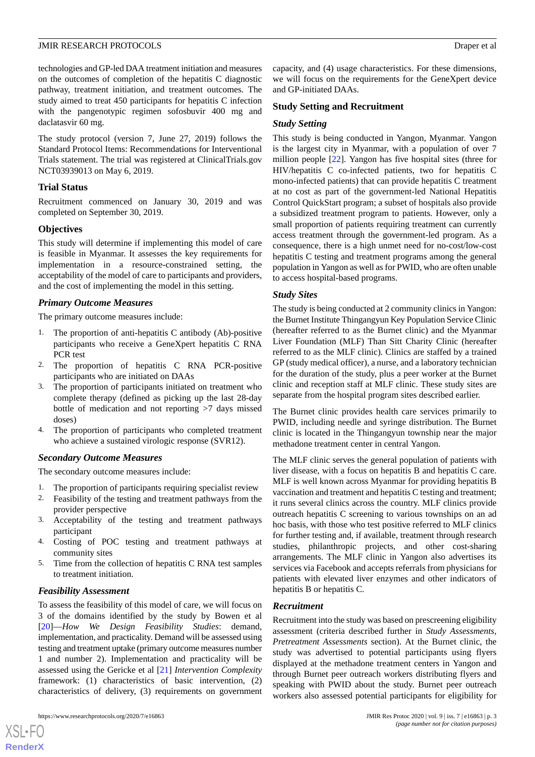technologies and GP-led DAA treatment initiation and measures on the outcomes of completion of the hepatitis C diagnostic pathway, treatment initiation, and treatment outcomes. The study aimed to treat 450 participants for hepatitis C infection with the pangenotypic regimen sofosbuvir 400 mg and daclatasvir 60 mg.

The study protocol (version 7, June 27, 2019) follows the Standard Protocol Items: Recommendations for Interventional Trials statement. The trial was registered at ClinicalTrials.gov NCT03939013 on May 6, 2019.

### **Trial Status**

Recruitment commenced on January 30, 2019 and was completed on September 30, 2019.

# **Objectives**

This study will determine if implementing this model of care is feasible in Myanmar. It assesses the key requirements for implementation in a resource-constrained setting, the acceptability of the model of care to participants and providers, and the cost of implementing the model in this setting.

# *Primary Outcome Measures*

The primary outcome measures include:

- 1. The proportion of anti-hepatitis C antibody (Ab)-positive participants who receive a GeneXpert hepatitis C RNA PCR test
- 2. The proportion of hepatitis C RNA PCR-positive participants who are initiated on DAAs
- 3. The proportion of participants initiated on treatment who complete therapy (defined as picking up the last 28-day bottle of medication and not reporting >7 days missed doses)
- 4. The proportion of participants who completed treatment who achieve a sustained virologic response (SVR12).

### *Secondary Outcome Measures*

The secondary outcome measures include:

- 1. The proportion of participants requiring specialist review
- 2. Feasibility of the testing and treatment pathways from the provider perspective
- 3. Acceptability of the testing and treatment pathways participant
- 4. Costing of POC testing and treatment pathways at community sites
- 5. Time from the collection of hepatitis C RNA test samples to treatment initiation.

# *Feasibility Assessment*

To assess the feasibility of this model of care, we will focus on 3 of the domains identified by the study by Bowen et al [[20\]](#page-10-9)—*How We Design Feasibility Studies*: demand, implementation, and practicality. Demand will be assessed using testing and treatment uptake (primary outcome measures number 1 and number 2). Implementation and practicality will be assessed using the Gericke et al [[21\]](#page-10-10) *Intervention Complexity* framework: (1) characteristics of basic intervention, (2) characteristics of delivery, (3) requirements on government

[XSL](http://www.w3.org/Style/XSL)•FO **[RenderX](http://www.renderx.com/)**

capacity, and (4) usage characteristics. For these dimensions, we will focus on the requirements for the GeneXpert device and GP-initiated DAAs.

### **Study Setting and Recruitment**

### *Study Setting*

This study is being conducted in Yangon, Myanmar. Yangon is the largest city in Myanmar, with a population of over 7 million people [\[22](#page-10-11)]. Yangon has five hospital sites (three for HIV/hepatitis C co-infected patients, two for hepatitis C mono-infected patients) that can provide hepatitis C treatment at no cost as part of the government-led National Hepatitis Control QuickStart program; a subset of hospitals also provide a subsidized treatment program to patients. However, only a small proportion of patients requiring treatment can currently access treatment through the government-led program. As a consequence, there is a high unmet need for no-cost/low-cost hepatitis C testing and treatment programs among the general population in Yangon as well as for PWID, who are often unable to access hospital-based programs.

### *Study Sites*

The study is being conducted at 2 community clinics in Yangon: the Burnet Institute Thingangyun Key Population Service Clinic (hereafter referred to as the Burnet clinic) and the Myanmar Liver Foundation (MLF) Than Sitt Charity Clinic (hereafter referred to as the MLF clinic). Clinics are staffed by a trained GP (study medical officer), a nurse, and a laboratory technician for the duration of the study, plus a peer worker at the Burnet clinic and reception staff at MLF clinic. These study sites are separate from the hospital program sites described earlier.

The Burnet clinic provides health care services primarily to PWID, including needle and syringe distribution. The Burnet clinic is located in the Thingangyun township near the major methadone treatment center in central Yangon.

The MLF clinic serves the general population of patients with liver disease, with a focus on hepatitis B and hepatitis C care. MLF is well known across Myanmar for providing hepatitis B vaccination and treatment and hepatitis C testing and treatment; it runs several clinics across the country. MLF clinics provide outreach hepatitis C screening to various townships on an ad hoc basis, with those who test positive referred to MLF clinics for further testing and, if available, treatment through research studies, philanthropic projects, and other cost-sharing arrangements. The MLF clinic in Yangon also advertises its services via Facebook and accepts referrals from physicians for patients with elevated liver enzymes and other indicators of hepatitis B or hepatitis C.

### *Recruitment*

Recruitment into the study was based on prescreening eligibility assessment (criteria described further in *Study Assessments, Pretreatment Assessments* section). At the Burnet clinic, the study was advertised to potential participants using flyers displayed at the methadone treatment centers in Yangon and through Burnet peer outreach workers distributing flyers and speaking with PWID about the study. Burnet peer outreach workers also assessed potential participants for eligibility for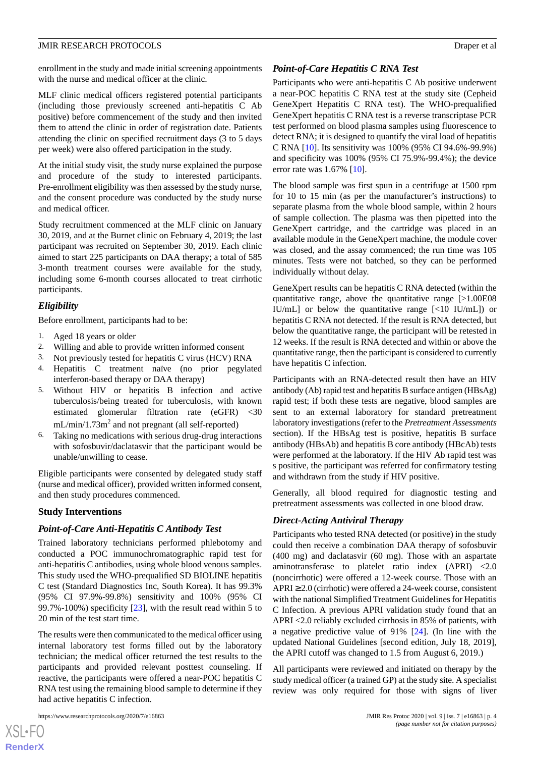enrollment in the study and made initial screening appointments with the nurse and medical officer at the clinic.

MLF clinic medical officers registered potential participants (including those previously screened anti-hepatitis C Ab positive) before commencement of the study and then invited them to attend the clinic in order of registration date. Patients attending the clinic on specified recruitment days (3 to 5 days per week) were also offered participation in the study.

At the initial study visit, the study nurse explained the purpose and procedure of the study to interested participants. Pre-enrollment eligibility was then assessed by the study nurse, and the consent procedure was conducted by the study nurse and medical officer.

Study recruitment commenced at the MLF clinic on January 30, 2019, and at the Burnet clinic on February 4, 2019; the last participant was recruited on September 30, 2019. Each clinic aimed to start 225 participants on DAA therapy; a total of 585 3-month treatment courses were available for the study, including some 6-month courses allocated to treat cirrhotic participants.

# *Eligibility*

Before enrollment, participants had to be:

- 1. Aged 18 years or older
- 
- 2. Willing and able to provide written informed consent<br>3. Not previously tested for hepatitis C virus (HCV) RN 3. Not previously tested for hepatitis C virus (HCV) RNA
- 4. Hepatitis C treatment naïve (no prior pegylated interferon-based therapy or DAA therapy)
- 5. Without HIV or hepatitis B infection and active tuberculosis/being treated for tuberculosis, with known estimated glomerular filtration rate (eGFR) <30  $mL/min/1.73m<sup>2</sup>$  and not pregnant (all self-reported)
- 6. Taking no medications with serious drug-drug interactions with sofosbuvir/daclatasvir that the participant would be unable/unwilling to cease.

Eligible participants were consented by delegated study staff (nurse and medical officer), provided written informed consent, and then study procedures commenced.

### **Study Interventions**

### *Point-of-Care Anti-Hepatitis C Antibody Test*

Trained laboratory technicians performed phlebotomy and conducted a POC immunochromatographic rapid test for anti-hepatitis C antibodies, using whole blood venous samples. This study used the WHO-prequalified SD BIOLINE hepatitis C test (Standard Diagnostics Inc, South Korea). It has 99.3% (95% CI 97.9%-99.8%) sensitivity and 100% (95% CI 99.7%-100%) specificity [[23\]](#page-10-12), with the result read within 5 to 20 min of the test start time.

The results were then communicated to the medical officer using internal laboratory test forms filled out by the laboratory technician; the medical officer returned the test results to the participants and provided relevant posttest counseling. If reactive, the participants were offered a near-POC hepatitis C RNA test using the remaining blood sample to determine if they had active hepatitis C infection.

https://www.researchprotocols.org/2020/7/e16863 p. 4

### *Point-of-Care Hepatitis C RNA Test*

Participants who were anti-hepatitis C Ab positive underwent a near-POC hepatitis C RNA test at the study site (Cepheid GeneXpert Hepatitis C RNA test). The WHO-prequalified GeneXpert hepatitis C RNA test is a reverse transcriptase PCR test performed on blood plasma samples using fluorescence to detect RNA; it is designed to quantify the viral load of hepatitis C RNA [[10\]](#page-9-7). Its sensitivity was 100% (95% CI 94.6%-99.9%) and specificity was 100% (95% CI 75.9%-99.4%); the device error rate was 1.67% [[10\]](#page-9-7).

The blood sample was first spun in a centrifuge at 1500 rpm for 10 to 15 min (as per the manufacturer's instructions) to separate plasma from the whole blood sample, within 2 hours of sample collection. The plasma was then pipetted into the GeneXpert cartridge, and the cartridge was placed in an available module in the GeneXpert machine, the module cover was closed, and the assay commenced; the run time was 105 minutes. Tests were not batched, so they can be performed individually without delay.

GeneXpert results can be hepatitis C RNA detected (within the quantitative range, above the quantitative range [>1.00E08 IU/mL] or below the quantitative range [<10 IU/mL]) or hepatitis C RNA not detected. If the result is RNA detected, but below the quantitative range, the participant will be retested in 12 weeks. If the result is RNA detected and within or above the quantitative range, then the participant is considered to currently have hepatitis C infection.

Participants with an RNA-detected result then have an HIV antibody (Ab) rapid test and hepatitis B surface antigen (HBsAg) rapid test; if both these tests are negative, blood samples are sent to an external laboratory for standard pretreatment laboratory investigations (refer to the *Pretreatment Assessments* section). If the HBsAg test is positive, hepatitis B surface antibody (HBsAb) and hepatitis B core antibody (HBcAb) tests were performed at the laboratory. If the HIV Ab rapid test was s positive, the participant was referred for confirmatory testing and withdrawn from the study if HIV positive.

Generally, all blood required for diagnostic testing and pretreatment assessments was collected in one blood draw.

### *Direct-Acting Antiviral Therapy*

Participants who tested RNA detected (or positive) in the study could then receive a combination DAA therapy of sofosbuvir (400 mg) and daclatasvir (60 mg). Those with an aspartate aminotransferase to platelet ratio index (APRI) <2.0 (noncirrhotic) were offered a 12-week course. Those with an  $APRI \geq 2.0$  (cirrhotic) were offered a 24-week course, consistent with the national Simplified Treatment Guidelines for Hepatitis C Infection. A previous APRI validation study found that an APRI <2.0 reliably excluded cirrhosis in 85% of patients, with a negative predictive value of 91% [\[24](#page-10-13)]. (In line with the updated National Guidelines [second edition, July 18, 2019], the APRI cutoff was changed to 1.5 from August 6, 2019.)

All participants were reviewed and initiated on therapy by the study medical officer (a trained GP) at the study site. A specialist review was only required for those with signs of liver

```
XSJ \cdot FRenderX
```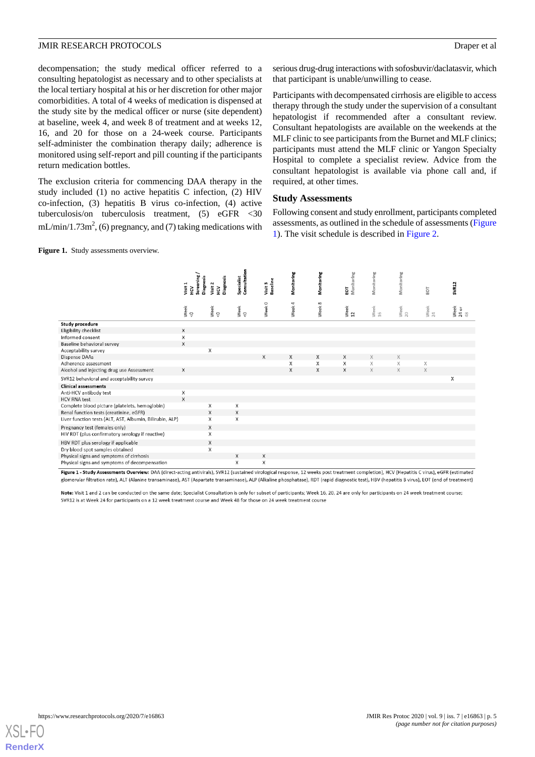decompensation; the study medical officer referred to a consulting hepatologist as necessary and to other specialists at the local tertiary hospital at his or her discretion for other major comorbidities. A total of 4 weeks of medication is dispensed at the study site by the medical officer or nurse (site dependent) at baseline, week 4, and week 8 of treatment and at weeks 12, 16, and 20 for those on a 24-week course. Participants self-administer the combination therapy daily; adherence is monitored using self-report and pill counting if the participants return medication bottles.

The exclusion criteria for commencing DAA therapy in the study included (1) no active hepatitis C infection, (2) HIV co-infection, (3) hepatitis B virus co-infection, (4) active tuberculosis/on tuberculosis treatment, (5) eGFR <30  $mL/min/1.73m^2$ , (6) pregnancy, and (7) taking medications with

<span id="page-4-0"></span>Figure 1. Study assessments overview.

serious drug-drug interactions with sofosbuvir/daclatasvir, which that participant is unable/unwilling to cease.

Participants with decompensated cirrhosis are eligible to access therapy through the study under the supervision of a consultant hepatologist if recommended after a consultant review. Consultant hepatologists are available on the weekends at the MLF clinic to see participants from the Burnet and MLF clinics; participants must attend the MLF clinic or Yangon Specialty Hospital to complete a specialist review. Advice from the consultant hepatologist is available via phone call and, if required, at other times.

#### **Study Assessments**

Following consent and study enrollment, participants completed assessments, as outlined in the schedule of assessments ([Figure](#page-4-0) [1\)](#page-4-0). The visit schedule is described in [Figure 2](#page-5-0).

|                                                          | Screening<br>Diagnos<br>Visit 1<br>HCV | Diagnosis<br>Visit 2<br>Š | Consultatio<br>Specialist | Visit 3<br>Baseline | Monitoring | Monitoring        | Monitoring<br>EOT | Monitoring | Monitoring | EOT        | <b>SVR12</b>                       |
|----------------------------------------------------------|----------------------------------------|---------------------------|---------------------------|---------------------|------------|-------------------|-------------------|------------|------------|------------|------------------------------------|
|                                                          | Week<br><0                             | Week<br><0                | Week<br><0                | Week <sub>0</sub>   | Week 4     | Week <sup>8</sup> | Week<br>12        | Week<br>16 | Week<br>20 | Week<br>24 | Week<br>$\frac{24 \text{ or}}{48}$ |
| <b>Study procedure</b>                                   |                                        |                           |                           |                     |            |                   |                   |            |            |            |                                    |
| Eligibility checklist                                    | X                                      |                           |                           |                     |            |                   |                   |            |            |            |                                    |
| Informed consent                                         | X                                      |                           |                           |                     |            |                   |                   |            |            |            |                                    |
| Baseline behavioral survey                               | X                                      |                           |                           |                     |            |                   |                   |            |            |            |                                    |
| Acceptability survey                                     |                                        | Х                         |                           |                     |            |                   |                   |            |            |            |                                    |
| Dispense DAAs                                            |                                        |                           |                           | X                   | X          | X                 | X                 | X          | X          |            |                                    |
| Adherence assessment                                     |                                        |                           |                           |                     | X          | X                 | X                 | X          | X          | X          |                                    |
| Alcohol and injecting drug use Assessment                | X                                      |                           |                           |                     | X          | X                 | X                 | X          | X          | X          |                                    |
| SVR12 behavioral and acceptability survey                |                                        |                           |                           |                     |            |                   |                   |            |            |            | X                                  |
| <b>Clinical assessments</b>                              |                                        |                           |                           |                     |            |                   |                   |            |            |            |                                    |
| Anti-HCV antibody test                                   | X                                      |                           |                           |                     |            |                   |                   |            |            |            |                                    |
| <b>HCV RNA test</b>                                      | X                                      |                           |                           |                     |            |                   |                   |            |            |            |                                    |
| Complete blood picture (platelets, hemoglobin)           |                                        | X                         | Χ                         |                     |            |                   |                   |            |            |            |                                    |
| Renal function tests (creatinine, eGFR)                  |                                        | X                         | X                         |                     |            |                   |                   |            |            |            |                                    |
| Liver function tests (ALT, AST, Albumin, Bilirubin, ALP) |                                        | X                         | X                         |                     |            |                   |                   |            |            |            |                                    |
| Pregnancy test (females only)                            |                                        | X                         |                           |                     |            |                   |                   |            |            |            |                                    |
| HIV RDT (plus confirmatory serology if reactive)         |                                        | X                         |                           |                     |            |                   |                   |            |            |            |                                    |
| HBV RDT plus serology if applicable                      |                                        | X                         |                           |                     |            |                   |                   |            |            |            |                                    |
| Dry blood spot samples obtained                          |                                        | X                         |                           |                     |            |                   |                   |            |            |            |                                    |
| Physical signs and symptoms of cirrhosis                 |                                        |                           | X                         | X                   |            |                   |                   |            |            |            |                                    |
| Physical signs and symptoms of decompensation            |                                        |                           | X                         | X                   |            |                   |                   |            |            |            |                                    |

Figure 1 - Study Assessments Overview: DAA (direct-acting antivirals), SVR12 (sustained virological response, 12 weeks post treatment completion), HCV (Hepatitis C virus), eGFR (estimated glomerular filtration rate). ALT (Alanine transaminase). AST (Aspartate transaminase). ALP (Alkaline phosphatase). RDT (rapid diagnostic test). HBV (hepatitis B virus). EOT (end of treatment)

Note: Visit 1 and 2 can be conducted on the same date; Specialist Consultation is only for subset of participants; Week 16, 20, 24 are only for participants on 24 week treatment course; SVR12 is at Week 24 for participants on a 12 week treatment course and Week 48 for those on 24 week treatment course

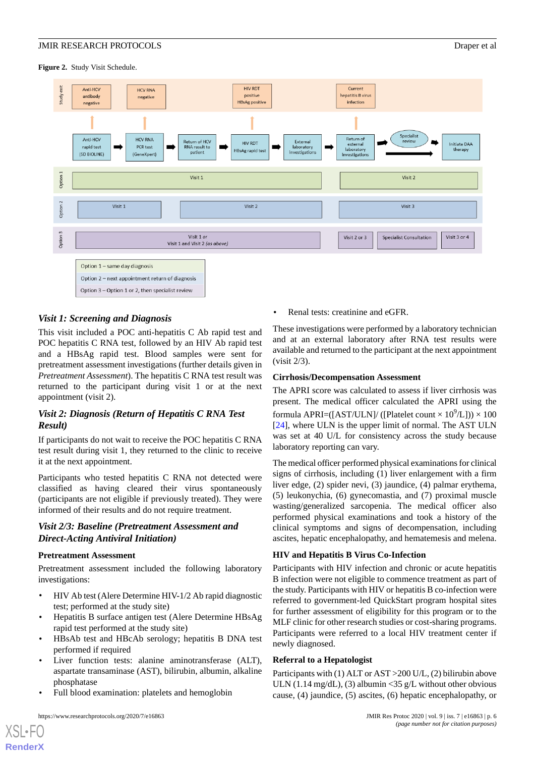<span id="page-5-0"></span>**Figure 2.** Study Visit Schedule.



# *Visit 1: Screening and Diagnosis*

This visit included a POC anti-hepatitis C Ab rapid test and POC hepatitis C RNA test, followed by an HIV Ab rapid test and a HBsAg rapid test. Blood samples were sent for pretreatment assessment investigations (further details given in *Pretreatment Assessment*). The hepatitis C RNA test result was returned to the participant during visit 1 or at the next appointment (visit 2).

# *Visit 2: Diagnosis (Return of Hepatitis C RNA Test Result)*

If participants do not wait to receive the POC hepatitis C RNA test result during visit 1, they returned to the clinic to receive it at the next appointment.

Participants who tested hepatitis C RNA not detected were classified as having cleared their virus spontaneously (participants are not eligible if previously treated). They were informed of their results and do not require treatment.

# *Visit 2/3: Baseline (Pretreatment Assessment and Direct-Acting Antiviral Initiation)*

#### **Pretreatment Assessment**

Pretreatment assessment included the following laboratory investigations:

- HIV Ab test (Alere Determine HIV-1/2 Ab rapid diagnostic test; performed at the study site)
- Hepatitis B surface antigen test (Alere Determine HBsAg rapid test performed at the study site)
- HBsAb test and HBcAb serology; hepatitis B DNA test performed if required
- Liver function tests: alanine aminotransferase (ALT), aspartate transaminase (AST), bilirubin, albumin, alkaline phosphatase
- Full blood examination: platelets and hemoglobin

https://www.researchprotocols.org/2020/7/e16863 p. 6 JMIR Res Protoc 2020 | vol. 9 | iss. 7 | e16863 | p. 6

[XSL](http://www.w3.org/Style/XSL)•FO **[RenderX](http://www.renderx.com/)**

• Renal tests: creatinine and eGFR.

These investigations were performed by a laboratory technician and at an external laboratory after RNA test results were available and returned to the participant at the next appointment (visit 2/3).

#### **Cirrhosis/Decompensation Assessment**

The APRI score was calculated to assess if liver cirrhosis was present. The medical officer calculated the APRI using the formula APRI=([AST/ULN]/ ([Platelet count  $\times$  10<sup>9</sup>/L]))  $\times$  100 [[24\]](#page-10-13), where ULN is the upper limit of normal. The AST ULN was set at 40 U/L for consistency across the study because laboratory reporting can vary.

The medical officer performed physical examinations for clinical signs of cirrhosis, including (1) liver enlargement with a firm liver edge, (2) spider nevi, (3) jaundice, (4) palmar erythema, (5) leukonychia, (6) gynecomastia, and (7) proximal muscle wasting/generalized sarcopenia. The medical officer also performed physical examinations and took a history of the clinical symptoms and signs of decompensation, including ascites, hepatic encephalopathy, and hematemesis and melena.

#### **HIV and Hepatitis B Virus Co-Infection**

Participants with HIV infection and chronic or acute hepatitis B infection were not eligible to commence treatment as part of the study. Participants with HIV or hepatitis B co-infection were referred to government-led QuickStart program hospital sites for further assessment of eligibility for this program or to the MLF clinic for other research studies or cost-sharing programs. Participants were referred to a local HIV treatment center if newly diagnosed.

#### **Referral to a Hepatologist**

Participants with (1) ALT or AST >200 U/L, (2) bilirubin above ULN  $(1.14 \text{ mg/dL})$ ,  $(3)$  albumin < 35 g/L without other obvious cause, (4) jaundice, (5) ascites, (6) hepatic encephalopathy, or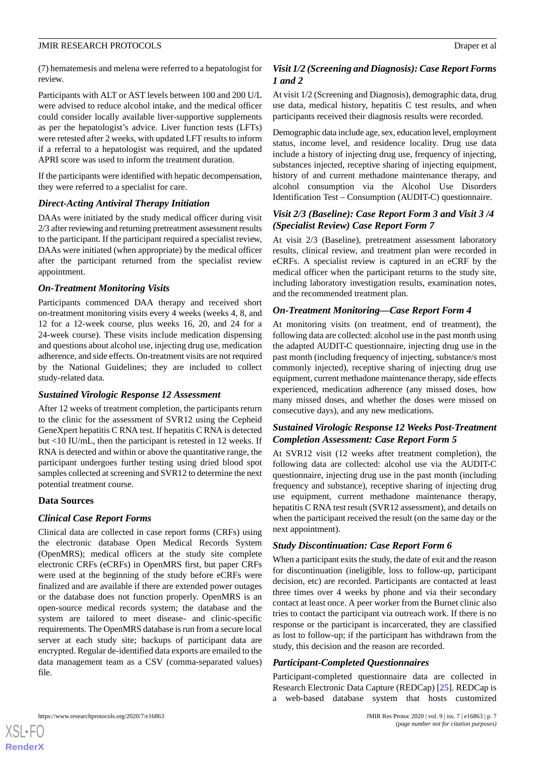(7) hematemesis and melena were referred to a hepatologist for review.

Participants with ALT or AST levels between 100 and 200 U/L were advised to reduce alcohol intake, and the medical officer could consider locally available liver-supportive supplements as per the hepatologist's advice. Liver function tests (LFTs) were retested after 2 weeks, with updated LFT results to inform if a referral to a hepatologist was required, and the updated APRI score was used to inform the treatment duration.

If the participants were identified with hepatic decompensation, they were referred to a specialist for care.

# *Direct-Acting Antiviral Therapy Initiation*

DAAs were initiated by the study medical officer during visit 2/3 after reviewing and returning pretreatment assessment results to the participant. If the participant required a specialist review, DAAs were initiated (when appropriate) by the medical officer after the participant returned from the specialist review appointment.

### *On-Treatment Monitoring Visits*

Participants commenced DAA therapy and received short on-treatment monitoring visits every 4 weeks (weeks 4, 8, and 12 for a 12-week course, plus weeks 16, 20, and 24 for a 24-week course). These visits include medication dispensing and questions about alcohol use, injecting drug use, medication adherence, and side effects. On-treatment visits are not required by the National Guidelines; they are included to collect study-related data.

### *Sustained Virologic Response 12 Assessment*

After 12 weeks of treatment completion, the participants return to the clinic for the assessment of SVR12 using the Cepheid GeneXpert hepatitis C RNA test. If hepatitis C RNA is detected but <10 IU/mL, then the participant is retested in 12 weeks. If RNA is detected and within or above the quantitative range, the participant undergoes further testing using dried blood spot samples collected at screening and SVR12 to determine the next potential treatment course.

# **Data Sources**

### *Clinical Case Report Forms*

Clinical data are collected in case report forms (CRFs) using the electronic database Open Medical Records System (OpenMRS); medical officers at the study site complete electronic CRFs (eCRFs) in OpenMRS first, but paper CRFs were used at the beginning of the study before eCRFs were finalized and are available if there are extended power outages or the database does not function properly. OpenMRS is an open-source medical records system; the database and the system are tailored to meet disease- and clinic-specific requirements. The OpenMRS database is run from a secure local server at each study site; backups of participant data are encrypted. Regular de-identified data exports are emailed to the data management team as a CSV (comma-separated values) file.

# *Visit 1/2 (Screening and Diagnosis): Case Report Forms 1 and 2*

At visit 1/2 (Screening and Diagnosis), demographic data, drug use data, medical history, hepatitis C test results, and when participants received their diagnosis results were recorded.

Demographic data include age, sex, education level, employment status, income level, and residence locality. Drug use data include a history of injecting drug use, frequency of injecting, substances injected, receptive sharing of injecting equipment, history of and current methadone maintenance therapy, and alcohol consumption via the Alcohol Use Disorders Identification Test – Consumption (AUDIT-C) questionnaire.

# *Visit 2/3 (Baseline): Case Report Form 3 and Visit 3 /4 (Specialist Review) Case Report Form 7*

At visit 2/3 (Baseline), pretreatment assessment laboratory results, clinical review, and treatment plan were recorded in eCRFs. A specialist review is captured in an eCRF by the medical officer when the participant returns to the study site, including laboratory investigation results, examination notes, and the recommended treatment plan.

# *On-Treatment Monitoring—Case Report Form 4*

At monitoring visits (on treatment, end of treatment), the following data are collected: alcohol use in the past month using the adapted AUDIT-C questionnaire, injecting drug use in the past month (including frequency of injecting, substance/s most commonly injected), receptive sharing of injecting drug use equipment, current methadone maintenance therapy, side effects experienced, medication adherence (any missed doses, how many missed doses, and whether the doses were missed on consecutive days), and any new medications.

# *Sustained Virologic Response 12 Weeks Post-Treatment Completion Assessment: Case Report Form 5*

At SVR12 visit (12 weeks after treatment completion), the following data are collected: alcohol use via the AUDIT-C questionnaire, injecting drug use in the past month (including frequency and substance), receptive sharing of injecting drug use equipment, current methadone maintenance therapy, hepatitis C RNA test result (SVR12 assessment), and details on when the participant received the result (on the same day or the next appointment).

# *Study Discontinuation: Case Report Form 6*

When a participant exits the study, the date of exit and the reason for discontinuation (ineligible, loss to follow-up, participant decision, etc) are recorded. Participants are contacted at least three times over 4 weeks by phone and via their secondary contact at least once. A peer worker from the Burnet clinic also tries to contact the participant via outreach work. If there is no response or the participant is incarcerated, they are classified as lost to follow-up; if the participant has withdrawn from the study, this decision and the reason are recorded.

# *Participant-Completed Questionnaires*

Participant-completed questionnaire data are collected in Research Electronic Data Capture (REDCap) [[25\]](#page-10-14). REDCap is a web-based database system that hosts customized



 $XS$  $\cdot$ FC **[RenderX](http://www.renderx.com/)**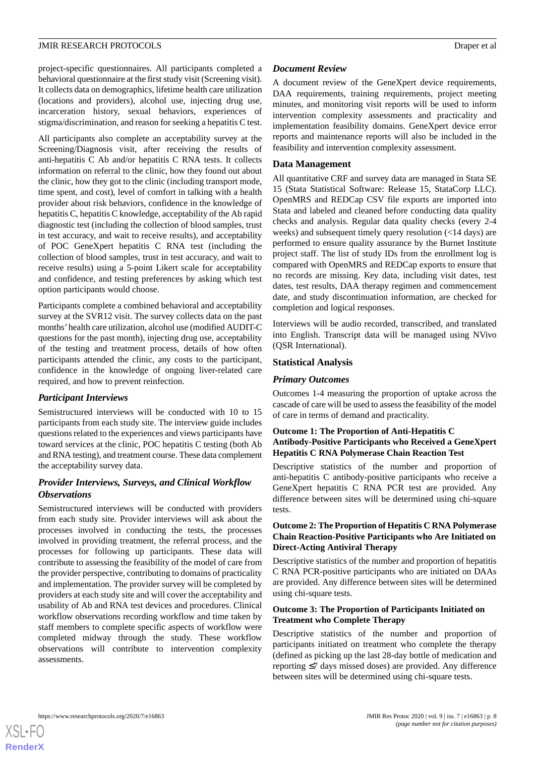project-specific questionnaires. All participants completed a behavioral questionnaire at the first study visit (Screening visit). It collects data on demographics, lifetime health care utilization (locations and providers), alcohol use, injecting drug use, incarceration history, sexual behaviors, experiences of stigma/discrimination, and reason for seeking a hepatitis C test.

All participants also complete an acceptability survey at the Screening/Diagnosis visit, after receiving the results of anti-hepatitis C Ab and/or hepatitis C RNA tests. It collects information on referral to the clinic, how they found out about the clinic, how they got to the clinic (including transport mode, time spent, and cost), level of comfort in talking with a health provider about risk behaviors, confidence in the knowledge of hepatitis C, hepatitis C knowledge, acceptability of the Ab rapid diagnostic test (including the collection of blood samples, trust in test accuracy, and wait to receive results), and acceptability of POC GeneXpert hepatitis C RNA test (including the collection of blood samples, trust in test accuracy, and wait to receive results) using a 5-point Likert scale for acceptability and confidence, and testing preferences by asking which test option participants would choose.

Participants complete a combined behavioral and acceptability survey at the SVR12 visit. The survey collects data on the past months'health care utilization, alcohol use (modified AUDIT-C questions for the past month), injecting drug use, acceptability of the testing and treatment process, details of how often participants attended the clinic, any costs to the participant, confidence in the knowledge of ongoing liver-related care required, and how to prevent reinfection.

### *Participant Interviews*

Semistructured interviews will be conducted with 10 to 15 participants from each study site. The interview guide includes questions related to the experiences and views participants have toward services at the clinic, POC hepatitis C testing (both Ab and RNA testing), and treatment course. These data complement the acceptability survey data.

# *Provider Interviews, Surveys, and Clinical Workflow Observations*

Semistructured interviews will be conducted with providers from each study site. Provider interviews will ask about the processes involved in conducting the tests, the processes involved in providing treatment, the referral process, and the processes for following up participants. These data will contribute to assessing the feasibility of the model of care from the provider perspective, contributing to domains of practicality and implementation. The provider survey will be completed by providers at each study site and will cover the acceptability and usability of Ab and RNA test devices and procedures. Clinical workflow observations recording workflow and time taken by staff members to complete specific aspects of workflow were completed midway through the study. These workflow observations will contribute to intervention complexity assessments.

#### *Document Review*

A document review of the GeneXpert device requirements, DAA requirements, training requirements, project meeting minutes, and monitoring visit reports will be used to inform intervention complexity assessments and practicality and implementation feasibility domains. GeneXpert device error reports and maintenance reports will also be included in the feasibility and intervention complexity assessment.

### **Data Management**

All quantitative CRF and survey data are managed in Stata SE 15 (Stata Statistical Software: Release 15, StataCorp LLC). OpenMRS and REDCap CSV file exports are imported into Stata and labeled and cleaned before conducting data quality checks and analysis. Regular data quality checks (every 2-4 weeks) and subsequent timely query resolution (<14 days) are performed to ensure quality assurance by the Burnet Institute project staff. The list of study IDs from the enrollment log is compared with OpenMRS and REDCap exports to ensure that no records are missing. Key data, including visit dates, test dates, test results, DAA therapy regimen and commencement date, and study discontinuation information, are checked for completion and logical responses.

Interviews will be audio recorded, transcribed, and translated into English. Transcript data will be managed using NVivo (QSR International).

#### **Statistical Analysis**

#### *Primary Outcomes*

Outcomes 1-4 measuring the proportion of uptake across the cascade of care will be used to assess the feasibility of the model of care in terms of demand and practicality.

## **Outcome 1: The Proportion of Anti-Hepatitis C Antibody-Positive Participants who Received a GeneXpert Hepatitis C RNA Polymerase Chain Reaction Test**

Descriptive statistics of the number and proportion of anti-hepatitis C antibody-positive participants who receive a GeneXpert hepatitis C RNA PCR test are provided. Any difference between sites will be determined using chi-square tests.

### **Outcome 2: The Proportion of Hepatitis C RNA Polymerase Chain Reaction-Positive Participants who Are Initiated on Direct-Acting Antiviral Therapy**

Descriptive statistics of the number and proportion of hepatitis C RNA PCR-positive participants who are initiated on DAAs are provided. Any difference between sites will be determined using chi-square tests.

#### **Outcome 3: The Proportion of Participants Initiated on Treatment who Complete Therapy**

Descriptive statistics of the number and proportion of participants initiated on treatment who complete the therapy (defined as picking up the last 28-day bottle of medication and reporting ≤7 days missed doses) are provided. Any difference between sites will be determined using chi-square tests.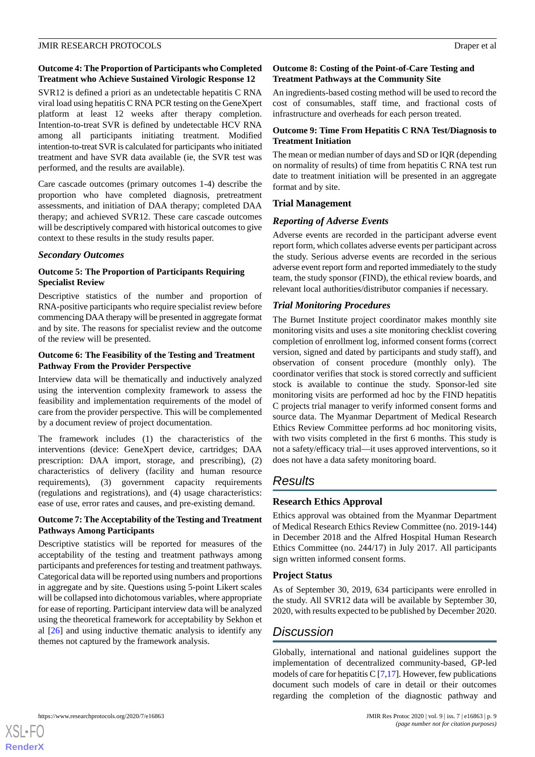# **Outcome 4: The Proportion of Participants who Completed Treatment who Achieve Sustained Virologic Response 12**

SVR12 is defined a priori as an undetectable hepatitis C RNA viral load using hepatitis C RNA PCR testing on the GeneXpert platform at least 12 weeks after therapy completion. Intention-to-treat SVR is defined by undetectable HCV RNA among all participants initiating treatment. Modified intention-to-treat SVR is calculated for participants who initiated treatment and have SVR data available (ie, the SVR test was performed, and the results are available).

Care cascade outcomes (primary outcomes 1-4) describe the proportion who have completed diagnosis, pretreatment assessments, and initiation of DAA therapy; completed DAA therapy; and achieved SVR12. These care cascade outcomes will be descriptively compared with historical outcomes to give context to these results in the study results paper.

### *Secondary Outcomes*

# **Outcome 5: The Proportion of Participants Requiring Specialist Review**

Descriptive statistics of the number and proportion of RNA-positive participants who require specialist review before commencing DAA therapy will be presented in aggregate format and by site. The reasons for specialist review and the outcome of the review will be presented.

### **Outcome 6: The Feasibility of the Testing and Treatment Pathway From the Provider Perspective**

Interview data will be thematically and inductively analyzed using the intervention complexity framework to assess the feasibility and implementation requirements of the model of care from the provider perspective. This will be complemented by a document review of project documentation.

The framework includes (1) the characteristics of the interventions (device: GeneXpert device, cartridges; DAA prescription: DAA import, storage, and prescribing), (2) characteristics of delivery (facility and human resource requirements), (3) government capacity requirements (regulations and registrations), and (4) usage characteristics: ease of use, error rates and causes, and pre-existing demand.

# **Outcome 7: The Acceptability of the Testing and Treatment Pathways Among Participants**

Descriptive statistics will be reported for measures of the acceptability of the testing and treatment pathways among participants and preferences for testing and treatment pathways. Categorical data will be reported using numbers and proportions in aggregate and by site. Questions using 5-point Likert scales will be collapsed into dichotomous variables, where appropriate for ease of reporting. Participant interview data will be analyzed using the theoretical framework for acceptability by Sekhon et al [[26\]](#page-10-15) and using inductive thematic analysis to identify any themes not captured by the framework analysis.

# **Outcome 8: Costing of the Point-of-Care Testing and Treatment Pathways at the Community Site**

An ingredients-based costing method will be used to record the cost of consumables, staff time, and fractional costs of infrastructure and overheads for each person treated.

# **Outcome 9: Time From Hepatitis C RNA Test/Diagnosis to Treatment Initiation**

The mean or median number of days and SD or IQR (depending on normality of results) of time from hepatitis C RNA test run date to treatment initiation will be presented in an aggregate format and by site.

# **Trial Management**

# *Reporting of Adverse Events*

Adverse events are recorded in the participant adverse event report form, which collates adverse events per participant across the study. Serious adverse events are recorded in the serious adverse event report form and reported immediately to the study team, the study sponsor (FIND), the ethical review boards, and relevant local authorities/distributor companies if necessary.

# *Trial Monitoring Procedures*

The Burnet Institute project coordinator makes monthly site monitoring visits and uses a site monitoring checklist covering completion of enrollment log, informed consent forms (correct version, signed and dated by participants and study staff), and observation of consent procedure (monthly only). The coordinator verifies that stock is stored correctly and sufficient stock is available to continue the study. Sponsor-led site monitoring visits are performed ad hoc by the FIND hepatitis C projects trial manager to verify informed consent forms and source data. The Myanmar Department of Medical Research Ethics Review Committee performs ad hoc monitoring visits, with two visits completed in the first 6 months. This study is not a safety/efficacy trial—it uses approved interventions, so it does not have a data safety monitoring board.

# *Results*

# **Research Ethics Approval**

Ethics approval was obtained from the Myanmar Department of Medical Research Ethics Review Committee (no. 2019-144) in December 2018 and the Alfred Hospital Human Research Ethics Committee (no. 244/17) in July 2017. All participants sign written informed consent forms.

# **Project Status**

As of September 30, 2019, 634 participants were enrolled in the study. All SVR12 data will be available by September 30, 2020, with results expected to be published by December 2020.

# *Discussion*

Globally, international and national guidelines support the implementation of decentralized community-based, GP-led models of care for hepatitis C  $[7,17]$  $[7,17]$  $[7,17]$ . However, few publications document such models of care in detail or their outcomes regarding the completion of the diagnostic pathway and

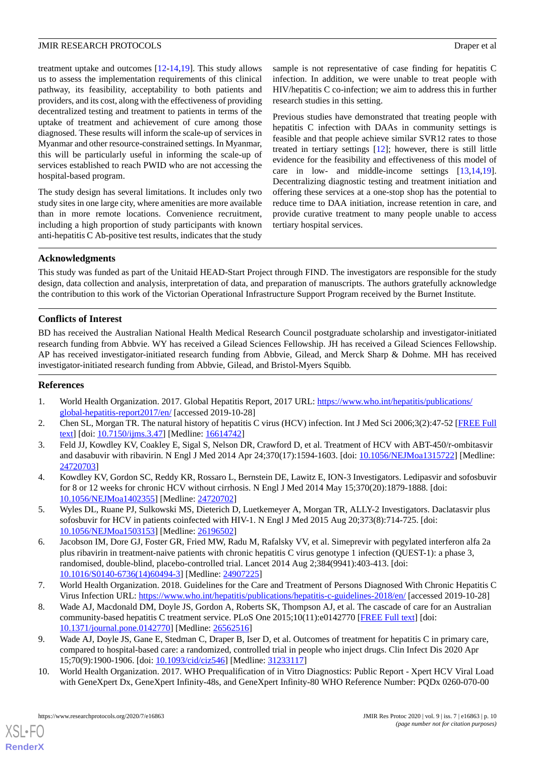treatment uptake and outcomes [\[12](#page-10-1)-[14,](#page-10-3)[19](#page-10-8)]. This study allows us to assess the implementation requirements of this clinical pathway, its feasibility, acceptability to both patients and providers, and its cost, along with the effectiveness of providing decentralized testing and treatment to patients in terms of the uptake of treatment and achievement of cure among those diagnosed. These results will inform the scale-up of services in Myanmar and other resource-constrained settings. In Myanmar, this will be particularly useful in informing the scale-up of services established to reach PWID who are not accessing the hospital-based program.

The study design has several limitations. It includes only two study sites in one large city, where amenities are more available than in more remote locations. Convenience recruitment, including a high proportion of study participants with known anti-hepatitis C Ab-positive test results, indicates that the study

sample is not representative of case finding for hepatitis C infection. In addition, we were unable to treat people with HIV/hepatitis C co-infection; we aim to address this in further research studies in this setting.

Previous studies have demonstrated that treating people with hepatitis C infection with DAAs in community settings is feasible and that people achieve similar SVR12 rates to those treated in tertiary settings [[12\]](#page-10-1); however, there is still little evidence for the feasibility and effectiveness of this model of care in low- and middle-income settings [[13](#page-10-2)[,14](#page-10-3),[19\]](#page-10-8). Decentralizing diagnostic testing and treatment initiation and offering these services at a one-stop shop has the potential to reduce time to DAA initiation, increase retention in care, and provide curative treatment to many people unable to access tertiary hospital services.

# **Acknowledgments**

This study was funded as part of the Unitaid HEAD-Start Project through FIND. The investigators are responsible for the study design, data collection and analysis, interpretation of data, and preparation of manuscripts. The authors gratefully acknowledge the contribution to this work of the Victorian Operational Infrastructure Support Program received by the Burnet Institute.

# **Conflicts of Interest**

BD has received the Australian National Health Medical Research Council postgraduate scholarship and investigator-initiated research funding from Abbvie. WY has received a Gilead Sciences Fellowship. JH has received a Gilead Sciences Fellowship. AP has received investigator-initiated research funding from Abbvie, Gilead, and Merck Sharp & Dohme. MH has received investigator-initiated research funding from Abbvie, Gilead, and Bristol-Myers Squibb.

### <span id="page-9-1"></span><span id="page-9-0"></span>**References**

- <span id="page-9-2"></span>1. World Health Organization. 2017. Global Hepatitis Report, 2017 URL: [https://www.who.int/hepatitis/publications/](https://www.who.int/hepatitis/publications/global-hepatitis-report2017/en/) [global-hepatitis-report2017/en/](https://www.who.int/hepatitis/publications/global-hepatitis-report2017/en/) [accessed 2019-10-28]
- 2. Chen SL, Morgan TR. The natural history of hepatitis C virus (HCV) infection. Int J Med Sci 2006;3(2):47-52 [[FREE Full](http://www.medsci.org/v03p0047.htm) [text](http://www.medsci.org/v03p0047.htm)] [doi: [10.7150/ijms.3.47](http://dx.doi.org/10.7150/ijms.3.47)] [Medline: [16614742\]](http://www.ncbi.nlm.nih.gov/entrez/query.fcgi?cmd=Retrieve&db=PubMed&list_uids=16614742&dopt=Abstract)
- 3. Feld JJ, Kowdley KV, Coakley E, Sigal S, Nelson DR, Crawford D, et al. Treatment of HCV with ABT-450/r-ombitasvir and dasabuvir with ribavirin. N Engl J Med 2014 Apr 24;370(17):1594-1603. [doi: [10.1056/NEJMoa1315722\]](http://dx.doi.org/10.1056/NEJMoa1315722) [Medline: [24720703](http://www.ncbi.nlm.nih.gov/entrez/query.fcgi?cmd=Retrieve&db=PubMed&list_uids=24720703&dopt=Abstract)]
- <span id="page-9-3"></span>4. Kowdley KV, Gordon SC, Reddy KR, Rossaro L, Bernstein DE, Lawitz E, ION-3 Investigators. Ledipasvir and sofosbuvir for 8 or 12 weeks for chronic HCV without cirrhosis. N Engl J Med 2014 May 15;370(20):1879-1888. [doi: [10.1056/NEJMoa1402355](http://dx.doi.org/10.1056/NEJMoa1402355)] [Medline: [24720702](http://www.ncbi.nlm.nih.gov/entrez/query.fcgi?cmd=Retrieve&db=PubMed&list_uids=24720702&dopt=Abstract)]
- 5. Wyles DL, Ruane PJ, Sulkowski MS, Dieterich D, Luetkemeyer A, Morgan TR, ALLY-2 Investigators. Daclatasvir plus sofosbuvir for HCV in patients coinfected with HIV-1. N Engl J Med 2015 Aug 20;373(8):714-725. [doi: [10.1056/NEJMoa1503153](http://dx.doi.org/10.1056/NEJMoa1503153)] [Medline: [26196502](http://www.ncbi.nlm.nih.gov/entrez/query.fcgi?cmd=Retrieve&db=PubMed&list_uids=26196502&dopt=Abstract)]
- <span id="page-9-5"></span><span id="page-9-4"></span>6. Jacobson IM, Dore GJ, Foster GR, Fried MW, Radu M, Rafalsky VV, et al. Simeprevir with pegylated interferon alfa 2a plus ribavirin in treatment-naive patients with chronic hepatitis C virus genotype 1 infection (QUEST-1): a phase 3, randomised, double-blind, placebo-controlled trial. Lancet 2014 Aug 2;384(9941):403-413. [doi: [10.1016/S0140-6736\(14\)60494-3\]](http://dx.doi.org/10.1016/S0140-6736(14)60494-3) [Medline: [24907225](http://www.ncbi.nlm.nih.gov/entrez/query.fcgi?cmd=Retrieve&db=PubMed&list_uids=24907225&dopt=Abstract)]
- <span id="page-9-6"></span>7. World Health Organization. 2018. Guidelines for the Care and Treatment of Persons Diagnosed With Chronic Hepatitis C Virus Infection URL:<https://www.who.int/hepatitis/publications/hepatitis-c-guidelines-2018/en/> [accessed 2019-10-28]
- <span id="page-9-7"></span>8. Wade AJ, Macdonald DM, Doyle JS, Gordon A, Roberts SK, Thompson AJ, et al. The cascade of care for an Australian community-based hepatitis C treatment service. PLoS One 2015;10(11):e0142770 [\[FREE Full text\]](http://dx.plos.org/10.1371/journal.pone.0142770) [doi: [10.1371/journal.pone.0142770\]](http://dx.doi.org/10.1371/journal.pone.0142770) [Medline: [26562516](http://www.ncbi.nlm.nih.gov/entrez/query.fcgi?cmd=Retrieve&db=PubMed&list_uids=26562516&dopt=Abstract)]
- 9. Wade AJ, Doyle JS, Gane E, Stedman C, Draper B, Iser D, et al. Outcomes of treatment for hepatitis C in primary care, compared to hospital-based care: a randomized, controlled trial in people who inject drugs. Clin Infect Dis 2020 Apr 15;70(9):1900-1906. [doi: [10.1093/cid/ciz546](http://dx.doi.org/10.1093/cid/ciz546)] [Medline: [31233117](http://www.ncbi.nlm.nih.gov/entrez/query.fcgi?cmd=Retrieve&db=PubMed&list_uids=31233117&dopt=Abstract)]
- 10. World Health Organization. 2017. WHO Prequalification of in Vitro Diagnostics: Public Report Xpert HCV Viral Load with GeneXpert Dx, GeneXpert Infinity-48s, and GeneXpert Infinity-80 WHO Reference Number: PQDx 0260-070-00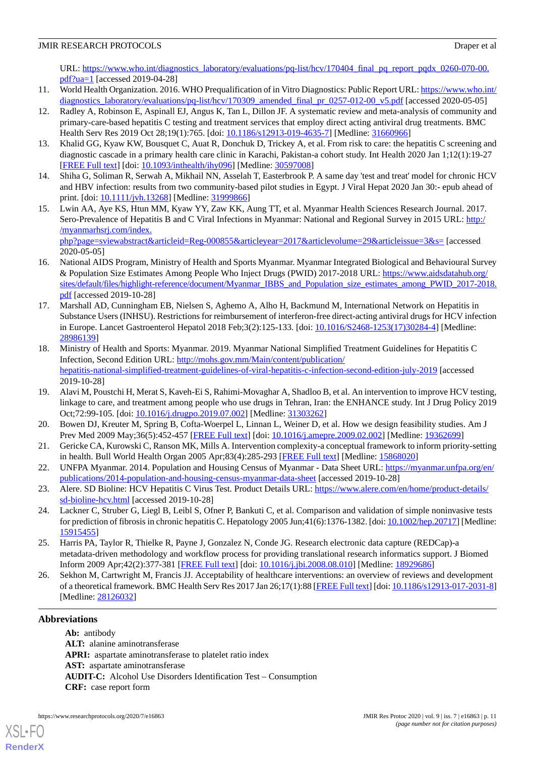URL: [https://www.who.int/diagnostics\\_laboratory/evaluations/pq-list/hcv/170404\\_final\\_pq\\_report\\_pqdx\\_0260-070-00.](https://www.who.int/diagnostics_laboratory/evaluations/pq-list/hcv/170404_final_pq_report_pqdx_0260-070-00.pdf?ua=1) [pdf?ua=1](https://www.who.int/diagnostics_laboratory/evaluations/pq-list/hcv/170404_final_pq_report_pqdx_0260-070-00.pdf?ua=1) [accessed 2019-04-28]

- <span id="page-10-0"></span>11. World Health Organization. 2016. WHO Prequalification of in Vitro Diagnostics: Public Report URL: [https://www.who.int/](https://www.who.int/diagnostics_laboratory/evaluations/pq-list/hcv/170309_amended_final_pr_0257-012-00_v5.pdf) [diagnostics\\_laboratory/evaluations/pq-list/hcv/170309\\_amended\\_final\\_pr\\_0257-012-00\\_v5.pdf](https://www.who.int/diagnostics_laboratory/evaluations/pq-list/hcv/170309_amended_final_pr_0257-012-00_v5.pdf) [accessed 2020-05-05]
- <span id="page-10-1"></span>12. Radley A, Robinson E, Aspinall EJ, Angus K, Tan L, Dillon JF. A systematic review and meta-analysis of community and primary-care-based hepatitis C testing and treatment services that employ direct acting antiviral drug treatments. BMC Health Serv Res 2019 Oct 28;19(1):765. [doi: [10.1186/s12913-019-4635-7](http://dx.doi.org/10.1186/s12913-019-4635-7)] [Medline: [31660966\]](http://www.ncbi.nlm.nih.gov/entrez/query.fcgi?cmd=Retrieve&db=PubMed&list_uids=31660966&dopt=Abstract)
- <span id="page-10-3"></span><span id="page-10-2"></span>13. Khalid GG, Kyaw KW, Bousquet C, Auat R, Donchuk D, Trickey A, et al. From risk to care: the hepatitis C screening and diagnostic cascade in a primary health care clinic in Karachi, Pakistan-a cohort study. Int Health 2020 Jan 1;12(1):19-27 [[FREE Full text](http://europepmc.org/abstract/MED/30597008)] [doi: [10.1093/inthealth/ihy096](http://dx.doi.org/10.1093/inthealth/ihy096)] [Medline: [30597008](http://www.ncbi.nlm.nih.gov/entrez/query.fcgi?cmd=Retrieve&db=PubMed&list_uids=30597008&dopt=Abstract)]
- <span id="page-10-4"></span>14. Shiha G, Soliman R, Serwah A, Mikhail NN, Asselah T, Easterbrook P. A same day 'test and treat' model for chronic HCV and HBV infection: results from two community-based pilot studies in Egypt. J Viral Hepat 2020 Jan 30:- epub ahead of print. [doi: [10.1111/jvh.13268](http://dx.doi.org/10.1111/jvh.13268)] [Medline: [31999866](http://www.ncbi.nlm.nih.gov/entrez/query.fcgi?cmd=Retrieve&db=PubMed&list_uids=31999866&dopt=Abstract)]
- 15. Lwin AA, Aye KS, Htun MM, Kyaw YY, Zaw KK, Aung TT, et al. Myanmar Health Sciences Research Journal. 2017. Sero-Prevalence of Hepatitis B and C Viral Infections in Myanmar: National and Regional Survey in 2015 URL: [http:/](http://myanmarhsrj.com/index.php?page=sviewabstract&articleid=Reg-000855&articleyear=2017&articlevolume=29&articleissue=3&s=) [/myanmarhsrj.com/index.](http://myanmarhsrj.com/index.php?page=sviewabstract&articleid=Reg-000855&articleyear=2017&articlevolume=29&articleissue=3&s=) [php?page=sviewabstract&articleid=Reg-000855&articleyear=2017&articlevolume=29&articleissue=3&s=](http://myanmarhsrj.com/index.php?page=sviewabstract&articleid=Reg-000855&articleyear=2017&articlevolume=29&articleissue=3&s=) [accessed

<span id="page-10-6"></span><span id="page-10-5"></span>2020-05-05] 16. National AIDS Program, Ministry of Health and Sports Myanmar. Myanmar Integrated Biological and Behavioural Survey & Population Size Estimates Among People Who Inject Drugs (PWID) 2017-2018 URL: [https://www.aidsdatahub.org/](https://www.aidsdatahub.org/sites/default/files/highlight-reference/document/Myanmar_IBBS_and_Population_size_estimates_among_PWID_2017-2018.pdf) [sites/default/files/highlight-reference/document/Myanmar\\_IBBS\\_and\\_Population\\_size\\_estimates\\_among\\_PWID\\_2017-2018.](https://www.aidsdatahub.org/sites/default/files/highlight-reference/document/Myanmar_IBBS_and_Population_size_estimates_among_PWID_2017-2018.pdf) [pdf](https://www.aidsdatahub.org/sites/default/files/highlight-reference/document/Myanmar_IBBS_and_Population_size_estimates_among_PWID_2017-2018.pdf) [accessed 2019-10-28]

- <span id="page-10-7"></span>17. Marshall AD, Cunningham EB, Nielsen S, Aghemo A, Alho H, Backmund M, International Network on Hepatitis in Substance Users (INHSU). Restrictions for reimbursement of interferon-free direct-acting antiviral drugs for HCV infection in Europe. Lancet Gastroenterol Hepatol 2018 Feb;3(2):125-133. [doi: [10.1016/S2468-1253\(17\)30284-4](http://dx.doi.org/10.1016/S2468-1253(17)30284-4)] [Medline: [28986139](http://www.ncbi.nlm.nih.gov/entrez/query.fcgi?cmd=Retrieve&db=PubMed&list_uids=28986139&dopt=Abstract)]
- <span id="page-10-8"></span>18. Ministry of Health and Sports: Myanmar. 2019. Myanmar National Simplified Treatment Guidelines for Hepatitis C Infection, Second Edition URL: [http://mohs.gov.mm/Main/content/publication/](http://mohs.gov.mm/Main/content/publication/hepatitis-national-simplified-treatment-guidelines-of-viral-hepatitis-c-infection-second-edition-july-2019) [hepatitis-national-simplified-treatment-guidelines-of-viral-hepatitis-c-infection-second-edition-july-2019](http://mohs.gov.mm/Main/content/publication/hepatitis-national-simplified-treatment-guidelines-of-viral-hepatitis-c-infection-second-edition-july-2019) [accessed 2019-10-28]
- <span id="page-10-10"></span><span id="page-10-9"></span>19. Alavi M, Poustchi H, Merat S, Kaveh-Ei S, Rahimi-Movaghar A, Shadloo B, et al. An intervention to improve HCV testing, linkage to care, and treatment among people who use drugs in Tehran, Iran: the ENHANCE study. Int J Drug Policy 2019 Oct;72:99-105. [doi: [10.1016/j.drugpo.2019.07.002\]](http://dx.doi.org/10.1016/j.drugpo.2019.07.002) [Medline: [31303262](http://www.ncbi.nlm.nih.gov/entrez/query.fcgi?cmd=Retrieve&db=PubMed&list_uids=31303262&dopt=Abstract)]
- <span id="page-10-11"></span>20. Bowen DJ, Kreuter M, Spring B, Cofta-Woerpel L, Linnan L, Weiner D, et al. How we design feasibility studies. Am J Prev Med 2009 May;36(5):452-457 [\[FREE Full text\]](http://europepmc.org/abstract/MED/19362699) [doi: [10.1016/j.amepre.2009.02.002](http://dx.doi.org/10.1016/j.amepre.2009.02.002)] [Medline: [19362699](http://www.ncbi.nlm.nih.gov/entrez/query.fcgi?cmd=Retrieve&db=PubMed&list_uids=19362699&dopt=Abstract)]
- <span id="page-10-12"></span>21. Gericke CA, Kurowski C, Ranson MK, Mills A. Intervention complexity-a conceptual framework to inform priority-setting in health. Bull World Health Organ 2005 Apr;83(4):285-293 [\[FREE Full text](http://europepmc.org/abstract/MED/15868020)] [Medline: [15868020](http://www.ncbi.nlm.nih.gov/entrez/query.fcgi?cmd=Retrieve&db=PubMed&list_uids=15868020&dopt=Abstract)]
- <span id="page-10-13"></span>22. UNFPA Myanmar. 2014. Population and Housing Census of Myanmar - Data Sheet URL: [https://myanmar.unfpa.org/en/](https://myanmar.unfpa.org/en/publications/2014-population-and-housing-census-myanmar-data-sheet) [publications/2014-population-and-housing-census-myanmar-data-sheet](https://myanmar.unfpa.org/en/publications/2014-population-and-housing-census-myanmar-data-sheet) [accessed 2019-10-28]
- <span id="page-10-14"></span>23. Alere. SD Bioline: HCV Hepatitis C Virus Test. Product Details URL: [https://www.alere.com/en/home/product-details/](https://www.alere.com/en/home/product-details/sd-bioline-hcv.html) [sd-bioline-hcv.html](https://www.alere.com/en/home/product-details/sd-bioline-hcv.html) [accessed 2019-10-28]
- <span id="page-10-15"></span>24. Lackner C, Struber G, Liegl B, Leibl S, Ofner P, Bankuti C, et al. Comparison and validation of simple noninvasive tests for prediction of fibrosis in chronic hepatitis C. Hepatology 2005 Jun;41(6):1376-1382. [doi: [10.1002/hep.20717](http://dx.doi.org/10.1002/hep.20717)] [Medline: [15915455](http://www.ncbi.nlm.nih.gov/entrez/query.fcgi?cmd=Retrieve&db=PubMed&list_uids=15915455&dopt=Abstract)]
- 25. Harris PA, Taylor R, Thielke R, Payne J, Gonzalez N, Conde JG. Research electronic data capture (REDCap)-a metadata-driven methodology and workflow process for providing translational research informatics support. J Biomed Inform 2009 Apr;42(2):377-381 [\[FREE Full text\]](https://linkinghub.elsevier.com/retrieve/pii/S1532-0464(08)00122-6) [doi: [10.1016/j.jbi.2008.08.010](http://dx.doi.org/10.1016/j.jbi.2008.08.010)] [Medline: [18929686](http://www.ncbi.nlm.nih.gov/entrez/query.fcgi?cmd=Retrieve&db=PubMed&list_uids=18929686&dopt=Abstract)]
- 26. Sekhon M, Cartwright M, Francis JJ. Acceptability of healthcare interventions: an overview of reviews and development of a theoretical framework. BMC Health Serv Res 2017 Jan 26;17(1):88 [\[FREE Full text\]](https://bmchealthservres.biomedcentral.com/articles/10.1186/s12913-017-2031-8) [doi: [10.1186/s12913-017-2031-8\]](http://dx.doi.org/10.1186/s12913-017-2031-8) [Medline: [28126032](http://www.ncbi.nlm.nih.gov/entrez/query.fcgi?cmd=Retrieve&db=PubMed&list_uids=28126032&dopt=Abstract)]

# **Abbreviations**

[XSL](http://www.w3.org/Style/XSL)•FO **[RenderX](http://www.renderx.com/)**

**Ab:** antibody **ALT:** alanine aminotransferase **APRI:** aspartate aminotransferase to platelet ratio index **AST:** aspartate aminotransferase **AUDIT-C:** Alcohol Use Disorders Identification Test – Consumption **CRF:** case report form